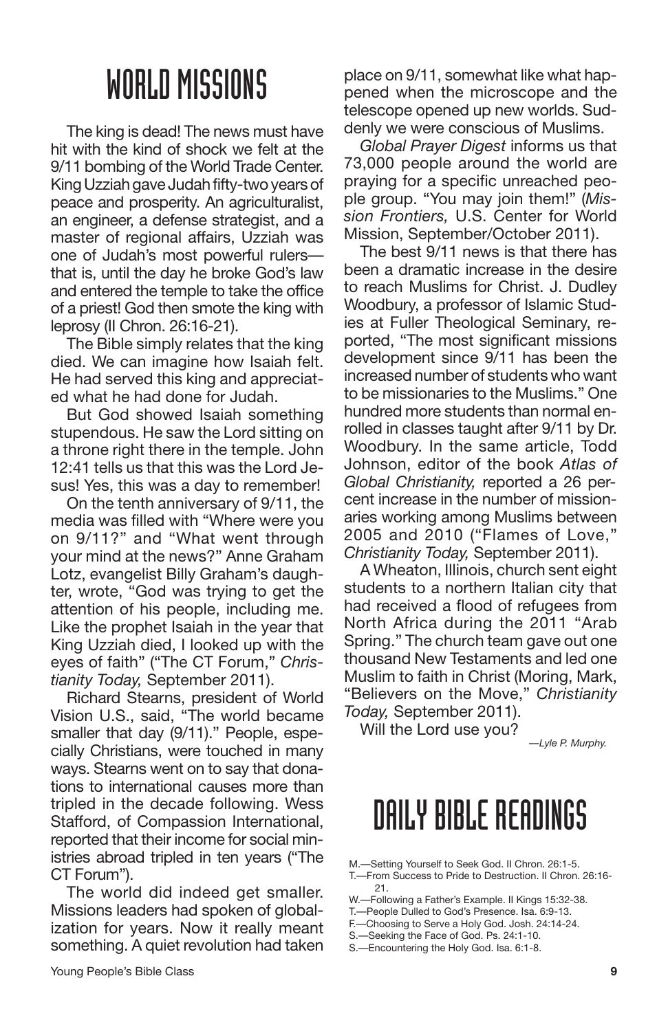The king is dead! The news must have hit with the kind of shock we felt at the 9/11 bombing of the World Trade Center. King Uzziah gave Judah fifty-two years of peace and prosperity. An agriculturalist, an engineer, a defense strategist, and a master of regional affairs, Uzziah was one of Judah's most powerful rulers that is, until the day he broke God's law and entered the temple to take the office of a priest! God then smote the king with leprosy (II Chron. 26:16-21).

The Bible simply relates that the king died. We can imagine how Isaiah felt. He had served this king and appreciated what he had done for Judah.

But God showed Isaiah something stupendous. He saw the Lord sitting on a throne right there in the temple. John 12:41 tells us that this was the Lord Jesus! Yes, this was a day to remember!

On the tenth anniversary of 9/11, the media was filled with "Where were you on 9/11?" and "What went through your mind at the news?" Anne Graham Lotz, evangelist Billy Graham's daughter, wrote, "God was trying to get the attention of his people, including me. Like the prophet Isaiah in the year that King Uzziah died, I looked up with the eyes of faith" ("The CT Forum," *Christianity Today,* September 2011).

Richard Stearns, president of World Vision U.S., said, "The world became smaller that day (9/11)." People, especially Christians, were touched in many ways. Stearns went on to say that donations to international causes more than tripled in the decade following. Wess Stafford, of Compassion International, reported that their income for social ministries abroad tripled in ten years ("The CT Forum").

The world did indeed get smaller. Missions leaders had spoken of globalization for years. Now it really meant something. A quiet revolution had taken place on 9/11, somewhat like what happened when the microscope and the telescope opened up new worlds. Suddenly we were conscious of Muslims.

*Global Prayer Digest* informs us that 73,000 people around the world are praying for a specific unreached people group. "You may join them!" (*Mission Frontiers,* U.S. Center for World Mission, September/October 2011).

The best 9/11 news is that there has been a dramatic increase in the desire to reach Muslims for Christ. J. Dudley Woodbury, a professor of Islamic Studies at Fuller Theological Seminary, reported, "The most significant missions development since 9/11 has been the increased number of students who want to be missionaries to the Muslims." One hundred more students than normal enrolled in classes taught after 9/11 by Dr. Woodbury. In the same article, Todd Johnson, editor of the book *Atlas of Global Christianity,* reported a 26 percent increase in the number of missionaries working among Muslims between 2005 and 2010 ("Flames of Love," *Christianity Today,* September 2011).

A Wheaton, Illinois, church sent eight students to a northern Italian city that had received a flood of refugees from North Africa during the 2011 "Arab Spring." The church team gave out one thousand New Testaments and led one Muslim to faith in Christ (Moring, Mark, "Believers on the Move," *Christianity Today,* September 2011).

Will the Lord use you?

*—Lyle P. Murphy.*

- M.—Setting Yourself to Seek God. II Chron. 26:1-5. T.—From Success to Pride to Destruction. II Chron. 26:16- 21.
- W.—Following a Father's Example. II Kings 15:32-38.
- T.—People Dulled to God's Presence. Isa. 6:9-13.
- F.—Choosing to Serve a Holy God. Josh. 24:14-24.
- S.—Seeking the Face of God. Ps. 24:1-10.
- S.—Encountering the Holy God. Isa. 6:1-8.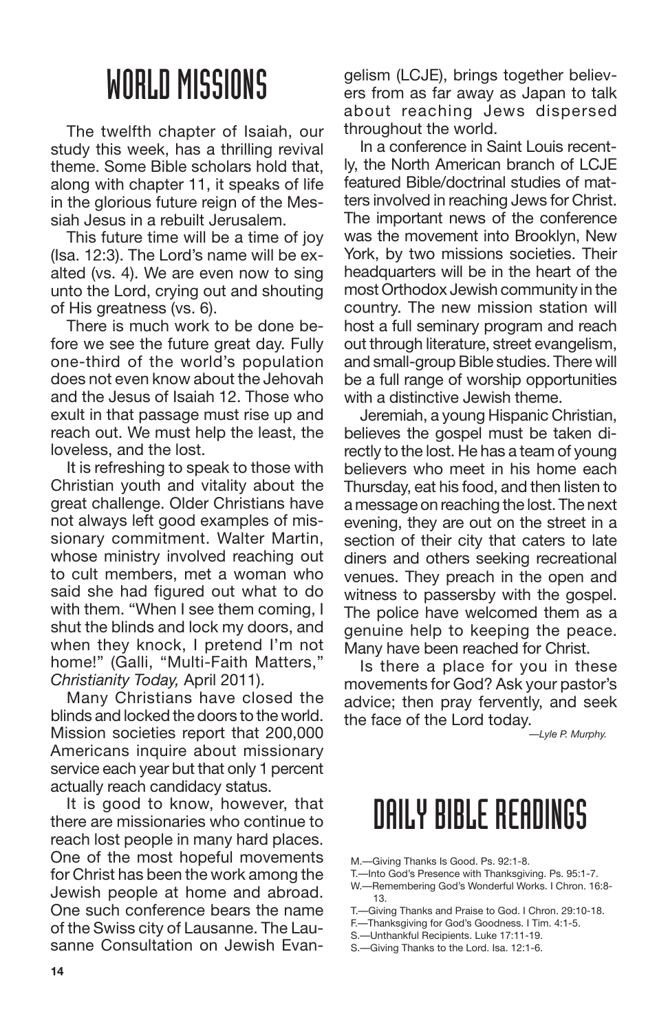The twelfth chapter of Isaiah, our study this week, has a thrilling revival theme. Some Bible scholars hold that, along with chapter 11, it speaks of life in the glorious future reign of the Messiah Jesus in a rebuilt Jerusalem.

This future time will be a time of joy (Isa. 12:3). The Lord's name will be exalted (vs. 4). We are even now to sing unto the Lord, crying out and shouting of His greatness (vs. 6).

There is much work to be done before we see the future great day. Fully one-third of the world's population does not even know about the Jehovah and the Jesus of Isaiah 12. Those who exult in that passage must rise up and reach out. We must help the least, the loveless, and the lost.

It is refreshing to speak to those with Christian youth and vitality about the great challenge. Older Christians have not always left good examples of missionary commitment. Walter Martin, whose ministry involved reaching out to cult members, met a woman who said she had figured out what to do with them. "When I see them coming, I shut the blinds and lock my doors, and when they knock, I pretend I'm not home!" (Galli, "Multi-Faith Matters," *Christianity Today,* April 2011).

Many Christians have closed the blinds and locked the doors to the world. Mission societies report that 200,000 Americans inquire about missionary service each year but that only 1 percent actually reach candidacy status.

It is good to know, however, that there are missionaries who continue to reach lost people in many hard places. One of the most hopeful movements for Christ has been the work among the Jewish people at home and abroad. One such conference bears the name of the Swiss city of Lausanne. The Lausanne Consultation on Jewish Evan-

gelism (LCJE), brings together believers from as far away as Japan to talk about reaching Jews dispersed throughout the world.

In a conference in Saint Louis recently, the North American branch of LCJE featured Bible/doctrinal studies of matters involved in reaching Jews for Christ. The important news of the conference was the movement into Brooklyn, New York, by two missions societies. Their headquarters will be in the heart of the most Orthodox Jewish community in the country. The new mission station will host a full seminary program and reach out through literature, street evangelism, and small-group Bible studies. There will be a full range of worship opportunities with a distinctive Jewish theme.

Jeremiah, a young Hispanic Christian, believes the gospel must be taken directly to the lost. He has a team of young believers who meet in his home each Thursday, eat his food, and then listen to a message on reaching the lost. The next evening, they are out on the street in a section of their city that caters to late diners and others seeking recreational venues. They preach in the open and witness to passersby with the gospel. The police have welcomed them as a genuine help to keeping the peace. Many have been reached for Christ.

Is there a place for you in these movements for God? Ask your pastor's advice; then pray fervently, and seek the face of the Lord today.

*—Lyle P. Murphy.*

- M.—Giving Thanks Is Good. Ps. 92:1-8.
- T.—Into God's Presence with Thanksgiving. Ps. 95:1-7.
- W.—Remembering God's Wonderful Works. I Chron. 16:8- 13.
- T.—Giving Thanks and Praise to God. I Chron. 29:10-18.
- F.—Thanksgiving for God's Goodness. I Tim. 4:1-5.
- S.—Unthankful Recipients. Luke 17:11-19.
- S.—Giving Thanks to the Lord. Isa. 12:1-6.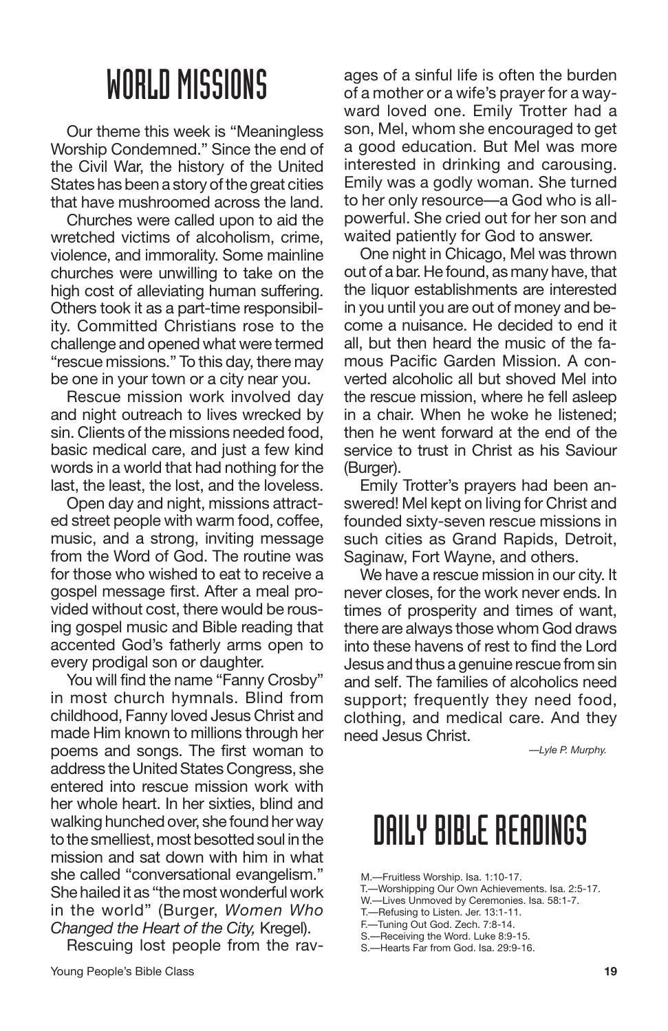Our theme this week is "Meaningless Worship Condemned." Since the end of the Civil War, the history of the United States has been a story of the great cities that have mushroomed across the land.

Churches were called upon to aid the wretched victims of alcoholism, crime, violence, and immorality. Some mainline churches were unwilling to take on the high cost of alleviating human suffering. Others took it as a part-time responsibility. Committed Christians rose to the challenge and opened what were termed "rescue missions." To this day, there may be one in your town or a city near you.

Rescue mission work involved day and night outreach to lives wrecked by sin. Clients of the missions needed food, basic medical care, and just a few kind words in a world that had nothing for the last, the least, the lost, and the loveless.

Open day and night, missions attracted street people with warm food, coffee, music, and a strong, inviting message from the Word of God. The routine was for those who wished to eat to receive a gospel message first. After a meal provided without cost, there would be rousing gospel music and Bible reading that accented God's fatherly arms open to every prodigal son or daughter.

You will find the name "Fanny Crosby" in most church hymnals. Blind from childhood, Fanny loved Jesus Christ and made Him known to millions through her poems and songs. The first woman to address the United States Congress, she entered into rescue mission work with her whole heart. In her sixties, blind and walking hunched over, she found her way to the smelliest, most besotted soul in the mission and sat down with him in what she called "conversational evangelism." She hailed it as "the most wonderful work in the world" (Burger, *Women Who Changed the Heart of the City,* Kregel).

Rescuing lost people from the rav-

ages of a sinful life is often the burden of a mother or a wife's prayer for a wayward loved one. Emily Trotter had a son, Mel, whom she encouraged to get a good education. But Mel was more interested in drinking and carousing. Emily was a godly woman. She turned to her only resource—a God who is allpowerful. She cried out for her son and waited patiently for God to answer.

One night in Chicago, Mel was thrown out of a bar. He found, as many have, that the liquor establishments are interested in you until you are out of money and become a nuisance. He decided to end it all, but then heard the music of the famous Pacific Garden Mission. A converted alcoholic all but shoved Mel into the rescue mission, where he fell asleep in a chair. When he woke he listened; then he went forward at the end of the service to trust in Christ as his Saviour (Burger).

Emily Trotter's prayers had been answered! Mel kept on living for Christ and founded sixty-seven rescue missions in such cities as Grand Rapids, Detroit, Saginaw, Fort Wayne, and others.

We have a rescue mission in our city. It never closes, for the work never ends. In times of prosperity and times of want, there are always those whom God draws into these havens of rest to find the Lord Jesus and thus a genuine rescue from sin and self. The families of alcoholics need support; frequently they need food, clothing, and medical care. And they need Jesus Christ.

*—Lyle P. Murphy.*

### DAILY BIBLE READINGS

M.—Fruitless Worship. Isa. 1:10-17.

- T.—Worshipping Our Own Achievements. Isa. 2:5-17.
- W.—Lives Unmoved by Ceremonies. Isa. 58:1-7.
- T.—Refusing to Listen. Jer. 13:1-11.
- F.—Tuning Out God. Zech. 7:8-14.
- S.—Receiving the Word. Luke 8:9-15.
- S.—Hearts Far from God. Isa. 29:9-16.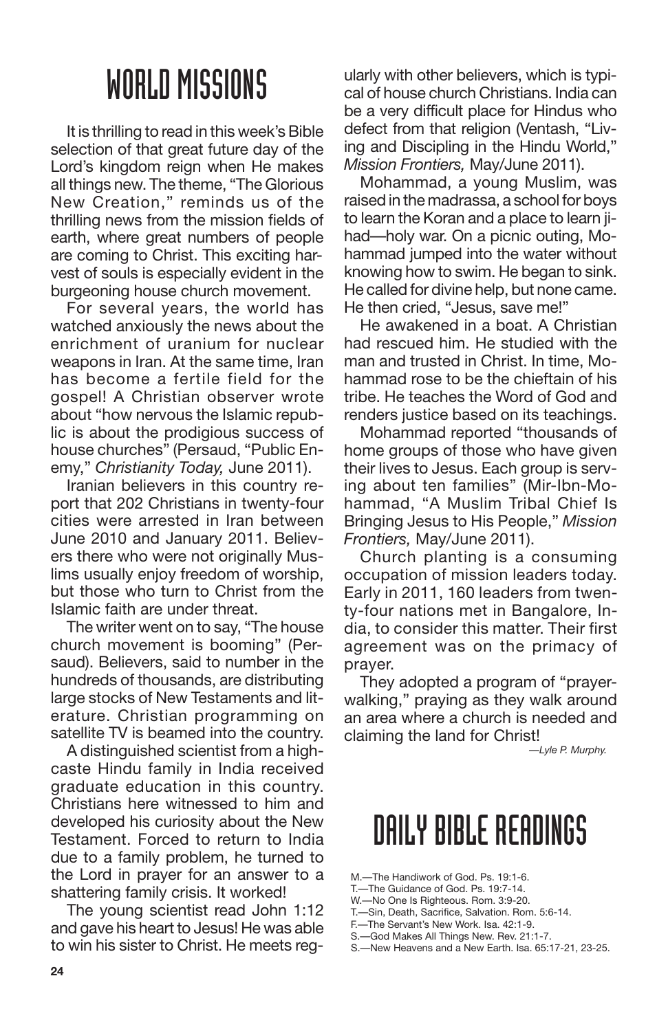It is thrilling to read in this week's Bible selection of that great future day of the Lord's kingdom reign when He makes all things new. The theme, "The Glorious New Creation," reminds us of the thrilling news from the mission fields of earth, where great numbers of people are coming to Christ. This exciting harvest of souls is especially evident in the burgeoning house church movement.

For several years, the world has watched anxiously the news about the enrichment of uranium for nuclear weapons in Iran. At the same time, Iran has become a fertile field for the gospel! A Christian observer wrote about "how nervous the Islamic republic is about the prodigious success of house churches" (Persaud, "Public Enemy," *Christianity Today,* June 2011).

Iranian believers in this country report that 202 Christians in twenty-four cities were arrested in Iran between June 2010 and January 2011. Believers there who were not originally Muslims usually enjoy freedom of worship, but those who turn to Christ from the Islamic faith are under threat.

The writer went on to say, "The house church movement is booming" (Persaud). Believers, said to number in the hundreds of thousands, are distributing large stocks of New Testaments and literature. Christian programming on satellite TV is beamed into the country.

A distinguished scientist from a highcaste Hindu family in India received graduate education in this country. Christians here witnessed to him and developed his curiosity about the New Testament. Forced to return to India due to a family problem, he turned to the Lord in prayer for an answer to a shattering family crisis. It worked!

The young scientist read John 1:12 and gave his heart to Jesus! He was able to win his sister to Christ. He meets regularly with other believers, which is typical of house church Christians. India can be a very difficult place for Hindus who defect from that religion (Ventash, "Living and Discipling in the Hindu World," *Mission Frontiers,* May/June 2011).

Mohammad, a young Muslim, was raised in the madrassa, a school for boys to learn the Koran and a place to learn jihad—holy war. On a picnic outing, Mohammad jumped into the water without knowing how to swim. He began to sink. He called for divine help, but none came. He then cried, "Jesus, save me!"

He awakened in a boat. A Christian had rescued him. He studied with the man and trusted in Christ. In time, Mohammad rose to be the chieftain of his tribe. He teaches the Word of God and renders justice based on its teachings.

Mohammad reported "thousands of home groups of those who have given their lives to Jesus. Each group is serving about ten families" (Mir-Ibn-Mohammad, "A Muslim Tribal Chief Is Bringing Jesus to His People," *Mission Frontiers,* May/June 2011).

Church planting is a consuming occupation of mission leaders today. Early in 2011, 160 leaders from twenty-four nations met in Bangalore, India, to consider this matter. Their first agreement was on the primacy of prayer.

They adopted a program of "prayerwalking," praying as they walk around an area where a church is needed and claiming the land for Christ!

*—Lyle P. Murphy.*

- M.—The Handiwork of God. Ps. 19:1-6.
- T.—The Guidance of God. Ps. 19:7-14.
- W.—No One Is Righteous. Rom. 3:9-20.
- T.—Sin, Death, Sacrifice, Salvation. Rom. 5:6-14. F.—The Servant's New Work. Isa. 42:1-9.
- 
- S.—God Makes All Things New. Rev. 21:1-7.
- S.—New Heavens and a New Earth. Isa. 65:17-21, 23-25.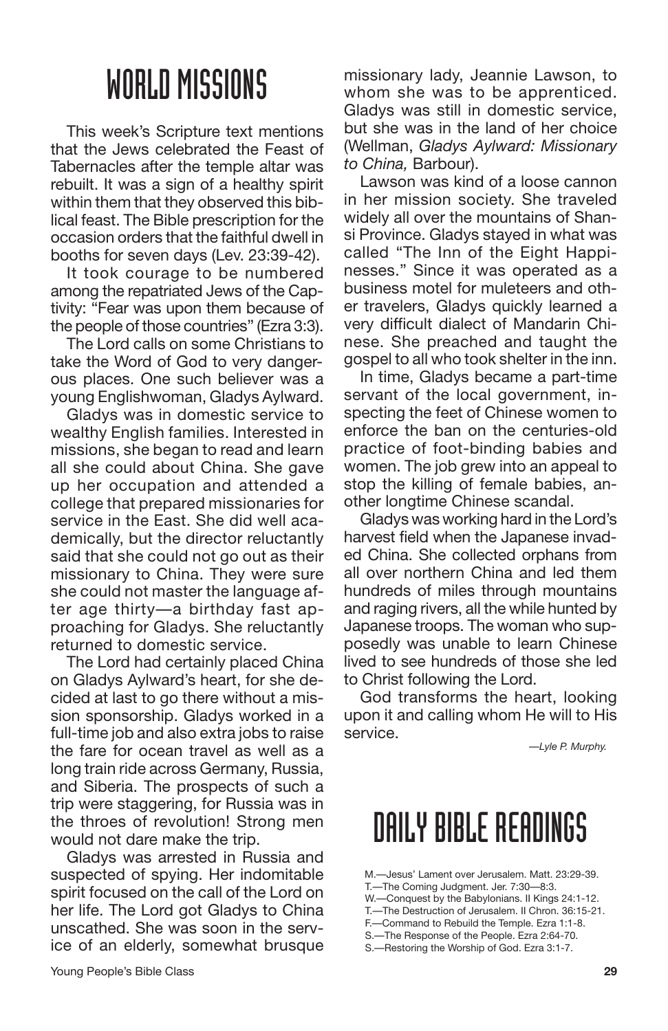This week's Scripture text mentions that the Jews celebrated the Feast of Tabernacles after the temple altar was rebuilt. It was a sign of a healthy spirit within them that they observed this biblical feast. The Bible prescription for the occasion orders that the faithful dwell in booths for seven days (Lev. 23:39-42).

It took courage to be numbered among the repatriated Jews of the Captivity: "Fear was upon them because of the people of those countries" (Ezra 3:3).

The Lord calls on some Christians to take the Word of God to very dangerous places. One such believer was a young Englishwoman, Gladys Aylward.

Gladys was in domestic service to wealthy English families. Interested in missions, she began to read and learn all she could about China. She gave up her occupation and attended a college that prepared missionaries for service in the East. She did well academically, but the director reluctantly said that she could not go out as their missionary to China. They were sure she could not master the language after age thirty—a birthday fast approaching for Gladys. She reluctantly returned to domestic service.

The Lord had certainly placed China on Gladys Aylward's heart, for she decided at last to go there without a mission sponsorship. Gladys worked in a full-time job and also extra jobs to raise the fare for ocean travel as well as a long train ride across Germany, Russia, and Siberia. The prospects of such a trip were staggering, for Russia was in the throes of revolution! Strong men would not dare make the trip.

Gladys was arrested in Russia and suspected of spying. Her indomitable spirit focused on the call of the Lord on her life. The Lord got Gladys to China unscathed. She was soon in the service of an elderly, somewhat brusque missionary lady, Jeannie Lawson, to whom she was to be apprenticed. Gladys was still in domestic service, but she was in the land of her choice (Wellman, *Gladys Aylward: Missionary to China,* Barbour).

Lawson was kind of a loose cannon in her mission society. She traveled widely all over the mountains of Shansi Province. Gladys stayed in what was called "The Inn of the Eight Happinesses." Since it was operated as a business motel for muleteers and other travelers, Gladys quickly learned a very difficult dialect of Mandarin Chinese. She preached and taught the gospel to all who took shelter in the inn.

In time, Gladys became a part-time servant of the local government, inspecting the feet of Chinese women to enforce the ban on the centuries-old practice of foot-binding babies and women. The job grew into an appeal to stop the killing of female babies, another longtime Chinese scandal.

Gladys was working hard in the Lord's harvest field when the Japanese invaded China. She collected orphans from all over northern China and led them hundreds of miles through mountains and raging rivers, all the while hunted by Japanese troops. The woman who supposedly was unable to learn Chinese lived to see hundreds of those she led to Christ following the Lord.

God transforms the heart, looking upon it and calling whom He will to His service.

*—Lyle P. Murphy.*

- M.—Jesus' Lament over Jerusalem. Matt. 23:29-39.
- T.—The Coming Judgment. Jer. 7:30—8:3.
- W.—Conquest by the Babylonians. II Kings 24:1-12.
- T.—The Destruction of Jerusalem. II Chron. 36:15-21.
- F.—Command to Rebuild the Temple. Ezra 1:1-8. S.—The Response of the People. Ezra 2:64-70.
- S.—Restoring the Worship of God. Ezra 3:1-7.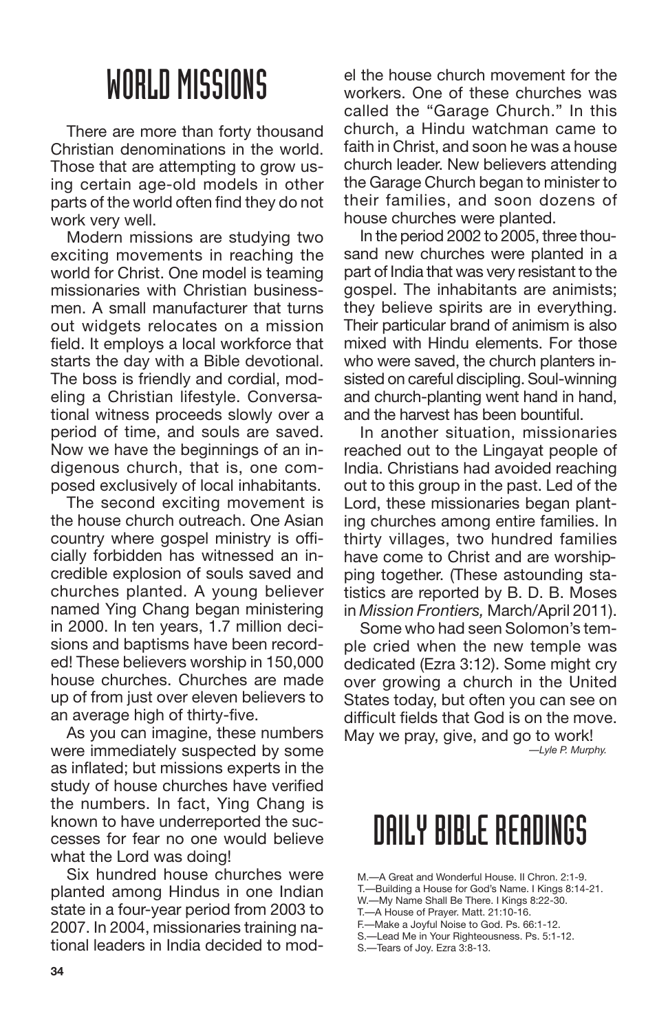There are more than forty thousand Christian denominations in the world. Those that are attempting to grow using certain age-old models in other parts of the world often find they do not work very well.

Modern missions are studying two exciting movements in reaching the world for Christ. One model is teaming missionaries with Christian businessmen. A small manufacturer that turns out widgets relocates on a mission field. It employs a local workforce that starts the day with a Bible devotional. The boss is friendly and cordial, modeling a Christian lifestyle. Conversational witness proceeds slowly over a period of time, and souls are saved. Now we have the beginnings of an indigenous church, that is, one composed exclusively of local inhabitants.

The second exciting movement is the house church outreach. One Asian country where gospel ministry is officially forbidden has witnessed an incredible explosion of souls saved and churches planted. A young believer named Ying Chang began ministering in 2000. In ten years, 1.7 million decisions and baptisms have been recorded! These believers worship in 150,000 house churches. Churches are made up of from just over eleven believers to an average high of thirty-five.

As you can imagine, these numbers were immediately suspected by some as inflated; but missions experts in the study of house churches have verified the numbers. In fact, Ying Chang is known to have underreported the successes for fear no one would believe what the Lord was doing!

Six hundred house churches were planted among Hindus in one Indian state in a four-year period from 2003 to 2007. In 2004, missionaries training national leaders in India decided to model the house church movement for the workers. One of these churches was called the "Garage Church." In this church, a Hindu watchman came to faith in Christ, and soon he was a house church leader. New believers attending the Garage Church began to minister to their families, and soon dozens of house churches were planted.

In the period 2002 to 2005, three thousand new churches were planted in a part of India that was very resistant to the gospel. The inhabitants are animists; they believe spirits are in everything. Their particular brand of animism is also mixed with Hindu elements. For those who were saved, the church planters insisted on careful discipling. Soul-winning and church-planting went hand in hand, and the harvest has been bountiful.

In another situation, missionaries reached out to the Lingayat people of India. Christians had avoided reaching out to this group in the past. Led of the Lord, these missionaries began planting churches among entire families. In thirty villages, two hundred families have come to Christ and are worshipping together. (These astounding statistics are reported by B. D. B. Moses in *Mission Frontiers,* March/April 2011).

Some who had seen Solomon's temple cried when the new temple was dedicated (Ezra 3:12). Some might cry over growing a church in the United States today, but often you can see on difficult fields that God is on the move. May we pray, give, and go to work! *—Lyle P. Murphy.*

- W.—My Name Shall Be There. I Kings 8:22-30.
- T.—A House of Prayer. Matt. 21:10-16.
- F.—Make a Joyful Noise to God. Ps. 66:1-12. S.—Lead Me in Your Righteousness. Ps. 5:1-12.
- S.—Tears of Joy. Ezra 3:8-13.

M.—A Great and Wonderful House. II Chron. 2:1-9.

T.—Building a House for God's Name. I Kings 8:14-21.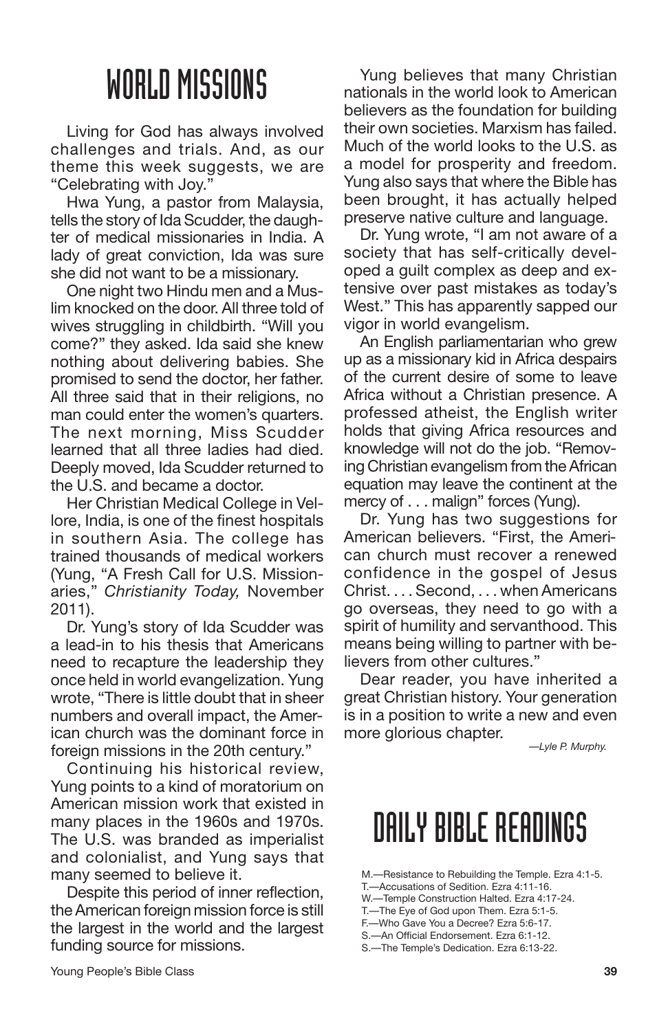Living for God has always involved challenges and trials. And, as our theme this week suggests, we are "Celebrating with Joy."

Hwa Yung, a pastor from Malaysia, tells the story of Ida Scudder, the daughter of medical missionaries in India. A lady of great conviction, Ida was sure she did not want to be a missionary.

One night two Hindu men and a Muslim knocked on the door. All three told of wives struggling in childbirth. "Will you come?" they asked. Ida said she knew nothing about delivering babies. She promised to send the doctor, her father. All three said that in their religions, no man could enter the women's quarters. The next morning, Miss Scudder learned that all three ladies had died. Deeply moved, Ida Scudder returned to the U.S. and became a doctor.

Her Christian Medical College in Vellore, India, is one of the finest hospitals in southern Asia. The college has trained thousands of medical workers (Yung, "A Fresh Call for U.S. Missionaries," *Christianity Today,* November 2011).

Dr. Yung's story of Ida Scudder was a lead-in to his thesis that Americans need to recapture the leadership they once held in world evangelization. Yung wrote, "There is little doubt that in sheer numbers and overall impact, the American church was the dominant force in foreign missions in the 20th century."

Continuing his historical review, Yung points to a kind of moratorium on American mission work that existed in many places in the 1960s and 1970s. The U.S. was branded as imperialist and colonialist, and Yung says that many seemed to believe it.

Despite this period of inner reflection, theAmerican foreign mission force is still the largest in the world and the largest funding source for missions.

Yung believes that many Christian nationals in the world look to American believers as the foundation for building their own societies. Marxism has failed. Much of the world looks to the U.S. as a model for prosperity and freedom. Yung also says that where the Bible has been brought, it has actually helped preserve native culture and language.

Dr. Yung wrote, "I am not aware of a society that has self-critically developed a guilt complex as deep and extensive over past mistakes as today's West." This has apparently sapped our vigor in world evangelism.

An English parliamentarian who grew up as a missionary kid in Africa despairs of the current desire of some to leave Africa without a Christian presence. A professed atheist, the English writer holds that giving Africa resources and knowledge will not do the job. "Removing Christian evangelism from the African equation may leave the continent at the mercy of . . . malign" forces (Yung).

Dr. Yung has two suggestions for American believers. "First, the American church must recover a renewed confidence in the gospel of Jesus Christ. . . . Second, . . . when Americans go overseas, they need to go with a spirit of humility and servanthood. This means being willing to partner with believers from other cultures."

Dear reader, you have inherited a great Christian history. Your generation is in a position to write a new and even more glorious chapter.

*—Lyle P. Murphy.*

- M.—Resistance to Rebuilding the Temple. Ezra 4:1-5.
- T.—Accusations of Sedition. Ezra 4:11-16.
- W.—Temple Construction Halted. Ezra 4:17-24.
- T.—The Eye of God upon Them. Ezra 5:1-5.
- F.—Who Gave You a Decree? Ezra 5:6-17.
- S.—An Official Endorsement. Ezra 6:1-12.
- S.—The Temple's Dedication. Ezra 6:13-22.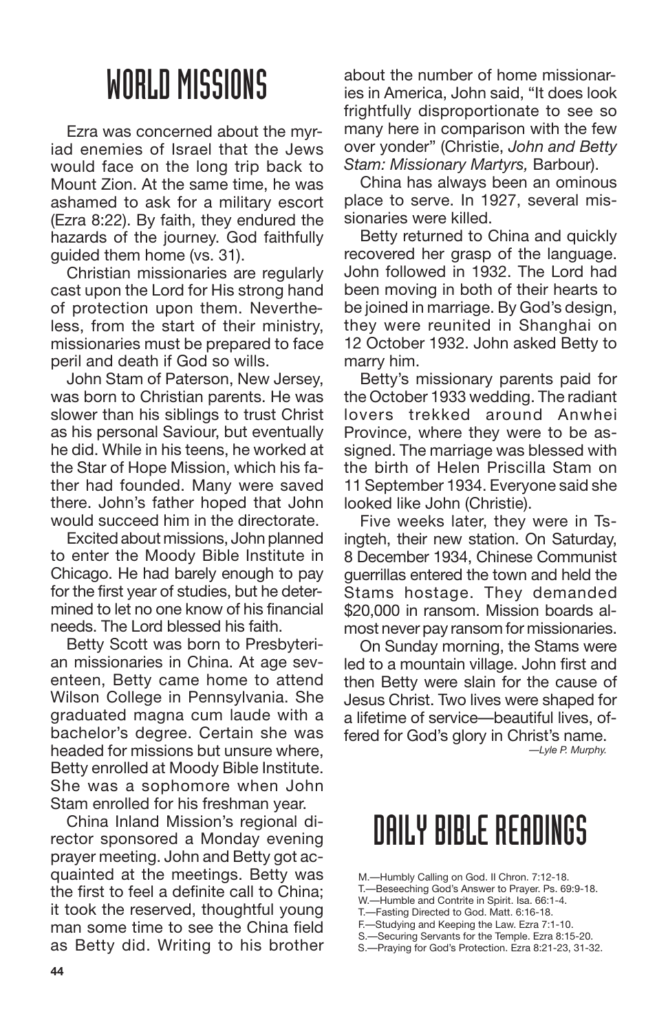Ezra was concerned about the myriad enemies of Israel that the Jews would face on the long trip back to Mount Zion. At the same time, he was ashamed to ask for a military escort (Ezra 8:22). By faith, they endured the hazards of the journey. God faithfully guided them home (vs. 31).

Christian missionaries are regularly cast upon the Lord for His strong hand of protection upon them. Nevertheless, from the start of their ministry, missionaries must be prepared to face peril and death if God so wills.

John Stam of Paterson, New Jersey, was born to Christian parents. He was slower than his siblings to trust Christ as his personal Saviour, but eventually he did. While in his teens, he worked at the Star of Hope Mission, which his father had founded. Many were saved there. John's father hoped that John would succeed him in the directorate.

Excited about missions, John planned to enter the Moody Bible Institute in Chicago. He had barely enough to pay for the first year of studies, but he determined to let no one know of his financial needs. The Lord blessed his faith.

Betty Scott was born to Presbyterian missionaries in China. At age seventeen, Betty came home to attend Wilson College in Pennsylvania. She graduated magna cum laude with a bachelor's degree. Certain she was headed for missions but unsure where, Betty enrolled at Moody Bible Institute. She was a sophomore when John Stam enrolled for his freshman year.

China Inland Mission's regional director sponsored a Monday evening prayer meeting. John and Betty got acquainted at the meetings. Betty was the first to feel a definite call to China; it took the reserved, thoughtful young man some time to see the China field as Betty did. Writing to his brother about the number of home missionaries in America, John said, "It does look frightfully disproportionate to see so many here in comparison with the few over yonder" (Christie, *John and Betty Stam: Missionary Martyrs,* Barbour).

China has always been an ominous place to serve. In 1927, several missionaries were killed.

Betty returned to China and quickly recovered her grasp of the language. John followed in 1932. The Lord had been moving in both of their hearts to be joined in marriage. By God's design, they were reunited in Shanghai on 12 October 1932. John asked Betty to marry him.

Betty's missionary parents paid for the October 1933 wedding. The radiant lovers trekked around Anwhei Province, where they were to be assigned. The marriage was blessed with the birth of Helen Priscilla Stam on 11 September 1934. Everyone said she looked like John (Christie).

Five weeks later, they were in Tsingteh, their new station. On Saturday, 8 December 1934, Chinese Communist guerrillas entered the town and held the Stams hostage. They demanded \$20,000 in ransom. Mission boards almost never pay ransom for missionaries.

On Sunday morning, the Stams were led to a mountain village. John first and then Betty were slain for the cause of Jesus Christ. Two lives were shaped for a lifetime of service—beautiful lives, offered for God's glory in Christ's name. *—Lyle P. Murphy.*

- M.—Humbly Calling on God. II Chron. 7:12-18.
- T.—Beseeching God's Answer to Prayer. Ps. 69:9-18.
- W.-Humble and Contrite in Spirit. Isa. 66:1-4.
- T.—Fasting Directed to God. Matt. 6:16-18. F.—Studying and Keeping the Law. Ezra 7:1-10.
- S.—Securing Servants for the Temple. Ezra 8:15-20.
- S.—Praying for God's Protection. Ezra 8:21-23, 31-32.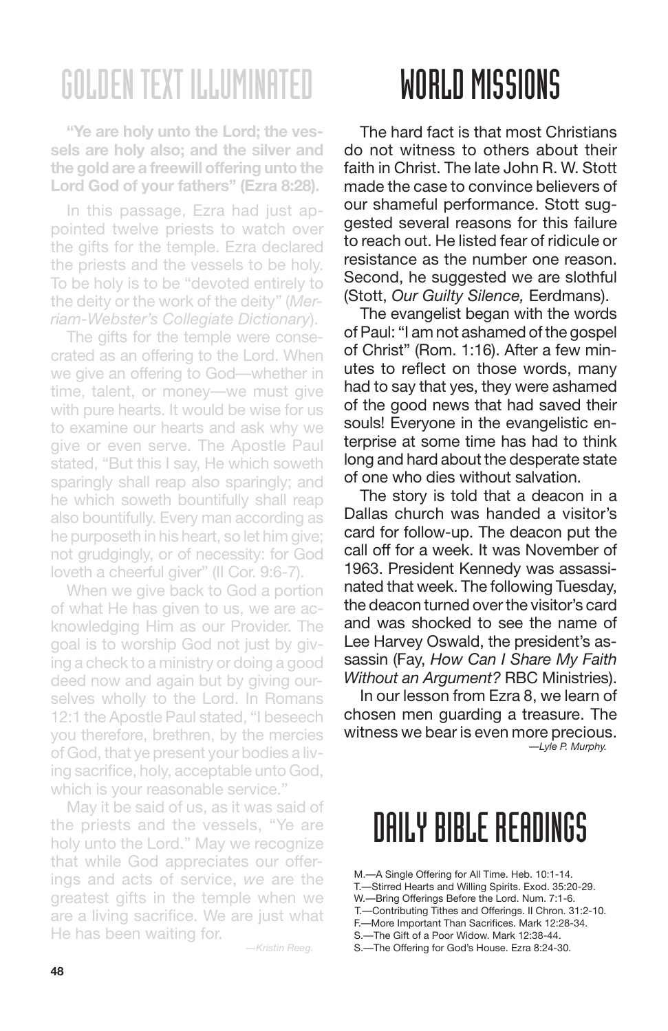**"Ye are holy unto the Lord; the vessels are holy also; and the silver and the gold are a freewill offering unto the Lord God of your fathers" (Ezra 8:28).**

In this passage, Ezra had just appointed twelve priests to watch over the gifts for the temple. Ezra declared the priests and the vessels to be holy. To be holy is to be "devoted entirely to the deity or the work of the deity" (*Merriam-Webster's Collegiate Dictionary*).

The gifts for the temple were consecrated as an offering to the Lord. When we give an offering to God—whether in time, talent, or money—we must give with pure hearts. It would be wise for us to examine our hearts and ask why we give or even serve. The Apostle Paul stated, "But this I say, He which soweth sparingly shall reap also sparingly; and he which soweth bountifully shall reap also bountifully. Every man according as he purposeth in his heart, so let him give; not grudgingly, or of necessity: for God loveth a cheerful giver" (II Cor. 9:6-7).

When we give back to God a portion of what He has given to us, we are acknowledging Him as our Provider. The goal is to worship God not just by giving a check to a ministry or doing a good deed now and again but by giving ourselves wholly to the Lord. In Romans 12:1 the Apostle Paul stated, "I beseech you therefore, brethren, by the mercies of God, that ye present your bodies a living sacrifice, holy, acceptable unto God, which is your reasonable service."

May it be said of us, as it was said of the priests and the vessels, "Ye are holy unto the Lord." May we recognize that while God appreciates our offerings and acts of service, *we* are the greatest gifts in the temple when we are a living sacrifice. We are just what He has been waiting for.

*—Kristin Reeg.*

## WORLD MISSIONS

The hard fact is that most Christians do not witness to others about their faith in Christ. The late John R. W. Stott made the case to convince believers of our shameful performance. Stott suggested several reasons for this failure to reach out. He listed fear of ridicule or resistance as the number one reason. Second, he suggested we are slothful (Stott, *Our Guilty Silence,* Eerdmans).

The evangelist began with the words ofPaul: "I am not ashamed of the gospel of Christ" (Rom. 1:16). After a few minutes to reflect on those words, many had to say that yes, they were ashamed of the good news that had saved their souls! Everyone in the evangelistic enterprise at some time has had to think long and hard about the desperate state of one who dies without salvation.

The story is told that a deacon in a Dallas church was handed a visitor's card for follow-up. The deacon put the call off for a week. It was November of 1963. President Kennedy was assassinated that week. The following Tuesday, the deacon turned over the visitor's card and was shocked to see the name of Lee Harvey Oswald, the president's assassin (Fay, *How Can I Share My Faith Without an Argument?* RBC Ministries).

In our lesson from Ezra 8, we learn of chosen men guarding a treasure. The witness we bear is even more precious. *—Lyle P. Murphy.*

- M.—A Single Offering for All Time. Heb. 10:1-14.
- T.—Stirred Hearts and Willing Spirits. Exod. 35:20-29.
- W.—Bring Offerings Before the Lord. Num. 7:1-6.
- T.—Contributing Tithes and Offerings. II Chron. 31:2-10. F.—More Important Than Sacrifices. Mark 12:28-34.
- S.—The Gift of a Poor Widow. Mark 12:38-44.
- 
- S.—The Offering for God's House. Ezra 8:24-30.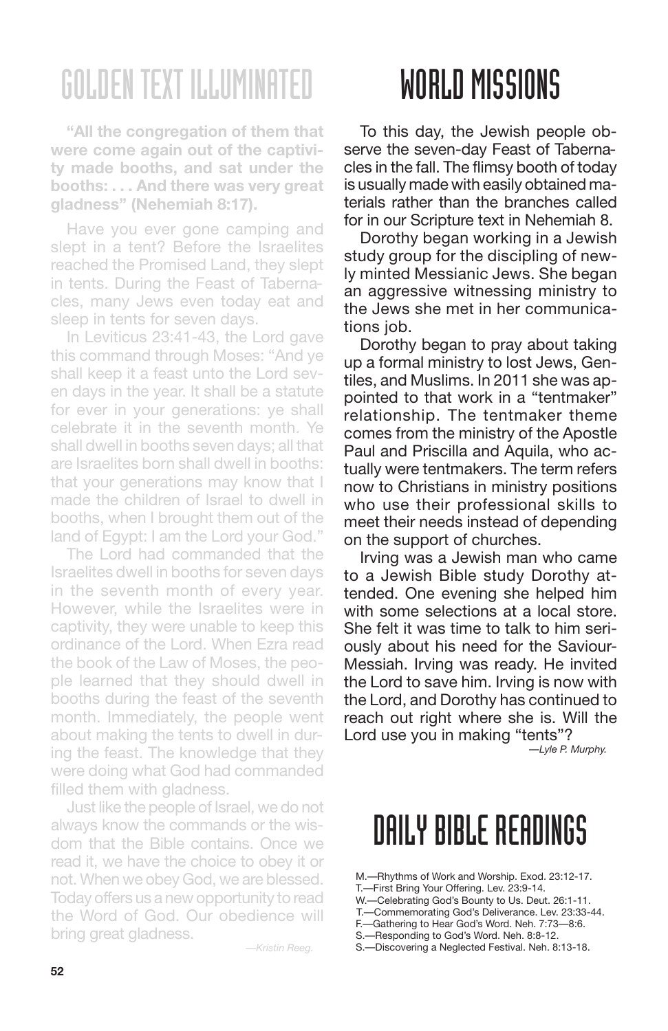**"All the congregation of them that were come again out of the captivity made booths, and sat under the booths: . . . And there was very great gladness" (Nehemiah 8:17).**

Have you ever gone camping and slept in a tent? Before the Israelites reached the Promised Land, they slept in tents. During the Feast of Tabernacles, many Jews even today eat and sleep in tents for seven days.

In Leviticus 23:41-43, the Lord gave this command through Moses: "And ye shall keep it a feast unto the Lord seven days in the year. It shall be a statute for ever in your generations: ye shall celebrate it in the seventh month. Ye shall dwell in booths seven days; all that are Israelites born shall dwell in booths: that your generations may know that I made the children of Israel to dwell in booths, when I brought them out of the land of Egypt: I am the Lord your God."

The Lord had commanded that the Israelites dwell in booths for seven days in the seventh month of every year. However, while the Israelites were in captivity, they were unable to keep this ordinance of the Lord. When Ezra read the book of the Law of Moses, the people learned that they should dwell in booths during the feast of the seventh month. Immediately, the people went about making the tents to dwell in during the feast. The knowledge that they were doing what God had commanded filled them with gladness.

Just like the people of Israel, we do not always know the commands or the wisdom that the Bible contains. Once we read it, we have the choice to obey it or not. When we obey God, we are blessed. Today offers us a newopportunity to read the Word of God. Our obedience will bring great gladness.

*—Kristin Reeg.*

### WORLD MISSIONS

To this day, the Jewish people observe the seven-day Feast of Tabernacles in the fall. The flimsy booth of today is usually made with easily obtained materials rather than the branches called for in our Scripture text in Nehemiah 8.

Dorothy began working in a Jewish study group for the discipling of newly minted Messianic Jews. She began an aggressive witnessing ministry to the Jews she met in her communications *job*.

Dorothy began to pray about taking up a formal ministry to lost Jews, Gentiles, and Muslims. In 2011 she was appointed to that work in a "tentmaker" relationship. The tentmaker theme comes from the ministry of the Apostle Paul and Priscilla and Aquila, who actually were tentmakers. The term refers now to Christians in ministry positions who use their professional skills to meet their needs instead of depending on the support of churches.

Irving was a Jewish man who came to a Jewish Bible study Dorothy attended. One evening she helped him with some selections at a local store. She felt it was time to talk to him seriously about his need for the Saviour-Messiah. Irving was ready. He invited the Lord to save him. Irving is now with the Lord, and Dorothy has continued to reach out right where she is. Will the Lord use you in making "tents"?

*—Lyle P. Murphy.*

- M.—Rhythms of Work and Worship. Exod. 23:12-17.
- T.—First Bring Your Offering. Lev. 23:9-14.
- W.—Celebrating God's Bounty to Us. Deut. 26:1-11.
- T.—Commemorating God's Deliverance. Lev. 23:33-44. F.—Gathering to Hear God's Word. Neh. 7:73—8:6.
- S.—Responding to God's Word. Neh. 8:8-12.
- S.—Discovering a Neglected Festival. Neh. 8:13-18.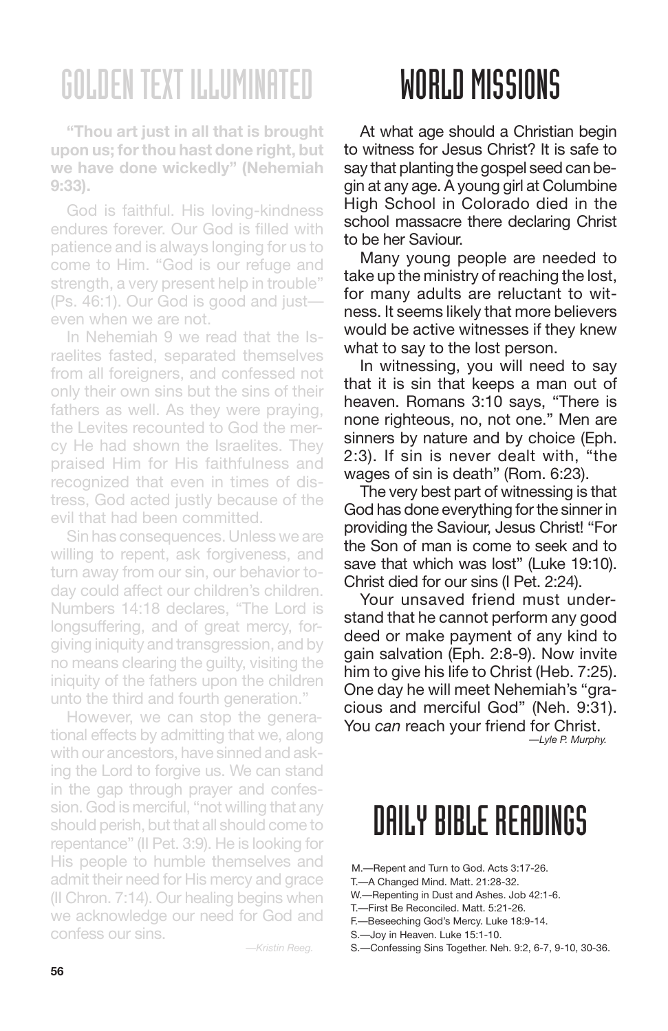**"Thou art just in all that is brought upon us; forthou hast done right, but we have done wickedly" (Nehemiah 9:33).**

God is faithful. His loving-kindness endures forever. Our God is filled with patience and is always longing for us to come to Him. "God is our refuge and strength, a very present help in trouble" (Ps. 46:1). Our God is good and just even when we are not.

In Nehemiah 9 we read that the Israelites fasted, separated themselves from all foreigners, and confessed not only their own sins but the sins of their fathers as well. As they were praying, the Levites recounted to God the mercy He had shown the Israelites. They praised Him for His faithfulness and recognized that even in times of distress, God acted justly because of the evil that had been committed.

Sin has consequences. Unless we are willing to repent, ask forgiveness, and turn away from our sin, our behavior today could affect our children's children. Numbers 14:18 declares, "The Lord is longsuffering, and of great mercy, forgiving iniquity and transgression, and by no means clearing the guilty, visiting the iniquity of the fathers upon the children unto the third and fourth generation."

However, we can stop the generational effects by admitting that we, along with our ancestors, have sinned and asking the Lord to forgive us. We can stand in the gap through prayer and confession. God is merciful, "not willing that any should perish, but that all should come to repentance" (II Pet. 3:9). He is looking for His people to humble themselves and admit their need for His mercy and grace (II Chron. 7:14). Our healing begins when we acknowledge our need for God and confess our sins.

*—Kristin Reeg.*

## WORLD MISSIONS

At what age should a Christian begin to witness for Jesus Christ? It is safe to say that planting the gospel seed can begin at any age. A young girl at Columbine High School in Colorado died in the school massacre there declaring Christ to be her Saviour.

Many young people are needed to take up the ministry of reaching the lost, for many adults are reluctant to witness. It seems likely that more believers would be active witnesses if they knew what to say to the lost person.

In witnessing, you will need to say that it is sin that keeps a man out of heaven. Romans 3:10 says, "There is none righteous, no, not one." Men are sinners by nature and by choice (Eph. 2:3). If sin is never dealt with, "the wages of sin is death" (Rom. 6:23).

The very best part of witnessing is that God has done everything for the sinner in providing the Saviour, Jesus Christ! "For the Son of man is come to seek and to save that which was lost" (Luke 19:10). Christ died for our sins (I Pet. 2:24).

Your unsaved friend must understand that he cannot perform any good deed or make payment of any kind to gain salvation (Eph. 2:8-9). Now invite him to give his life to Christ (Heb. 7:25). One day he will meet Nehemiah's "gracious and merciful God" (Neh. 9:31). You *can* reach your friend for Christ.

*—Lyle P. Murphy.*

### DAILY BIBLE READINGS

M.—Repent and Turn to God. Acts 3:17-26.

T.—A Changed Mind. Matt. 21:28-32.

- W.—Repenting in Dust and Ashes. Job 42:1-6.
- T.—First Be Reconciled. Matt. 5:21-26. F.—Beseeching God's Mercy. Luke 18:9-14.
- S.—Joy in Heaven. Luke 15:1-10.
- 

S.—Confessing Sins Together. Neh. 9:2, 6-7, 9-10, 30-36.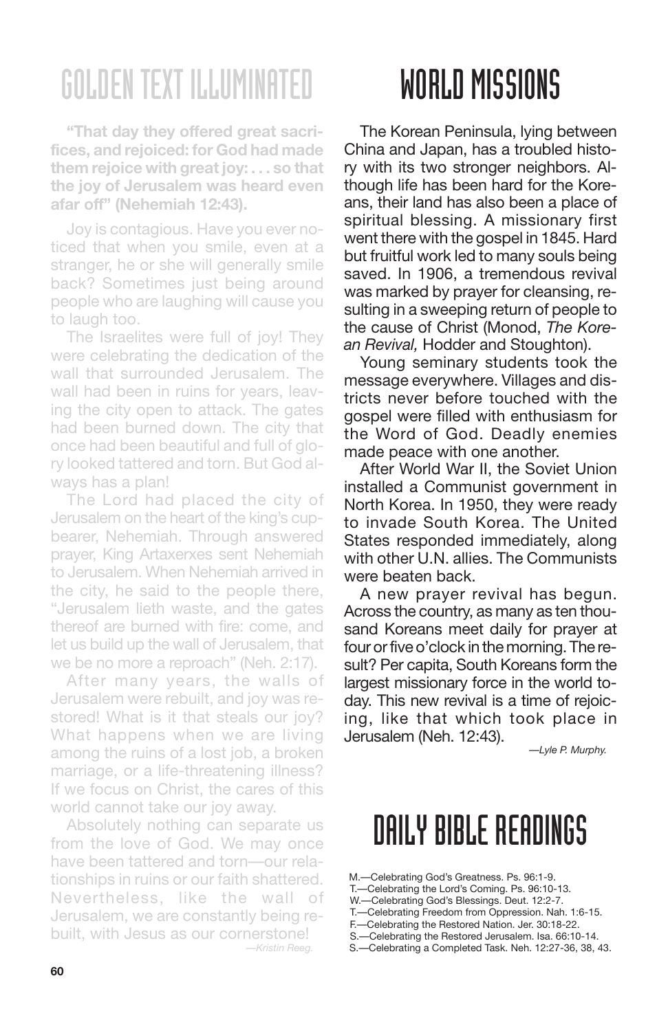**"That day they offered great sacrifices, and rejoiced: for God had made them rejoice with great joy: . . . so that the joy of Jerusalem was heard even afar off" (Nehemiah 12:43).**

Joy is contagious. Have you ever noticed that when you smile, even at a stranger, he or she will generally smile back? Sometimes just being around people who are laughing will cause you to laugh too.

The Israelites were full of joy! They were celebrating the dedication of the wall that surrounded Jerusalem. The wall had been in ruins for years, leaving the city open to attack. The gates had been burned down. The city that once had been beautiful and full of glory looked tattered and torn. But God always has a plan!

The Lord had placed the city of Jerusalem on the heart of the king's cupbearer, Nehemiah. Through answered prayer, King Artaxerxes sent Nehemiah to Jerusalem. When Nehemiah arrived in the city, he said to the people there, "Jerusalem lieth waste, and the gates thereof are burned with fire: come, and let us build up the wall of Jerusalem, that we be no more a reproach" (Neh. 2:17).

After many years, the walls of Jerusalem were rebuilt, and joy was restored! What is it that steals our joy? What happens when we are living among the ruins of a lost job, a broken marriage, or a life-threatening illness? If we focus on Christ, the cares of this world cannot take our joy away.

Absolutely nothing can separate us from the love of God. We may once have been tattered and torn—our relationships in ruins or our faith shattered. Nevertheless, like the wall of Jerusalem, we are constantly being rebuilt, with Jesus as our cornerstone! *—Kristin Reeg.*

# WORLD MISSIONS

The Korean Peninsula, lying between China and Japan, has a troubled history with its two stronger neighbors. Although life has been hard for the Koreans, their land has also been a place of spiritual blessing. A missionary first went there with the gospel in 1845. Hard but fruitful work led to many souls being saved. In 1906, a tremendous revival was marked by prayer for cleansing, resulting in a sweeping return of people to the cause of Christ (Monod, *The Korean Revival,* Hodder and Stoughton).

Young seminary students took the message everywhere. Villages and districts never before touched with the gospel were filled with enthusiasm for the Word of God. Deadly enemies made peace with one another.

After World War II, the Soviet Union installed a Communist government in North Korea. In 1950, they were ready to invade South Korea. The United States responded immediately, along with other U.N. allies. The Communists were beaten back.

A new prayer revival has begun. Across the country, as many as ten thousand Koreans meet daily for prayer at four or five o'clock in the morning. The result? Per capita, South Koreans form the largest missionary force in the world today. This new revival is a time of rejoicing, like that which took place in Jerusalem (Neh. 12:43).

*—Lyle P. Murphy.*

- M.—Celebrating God's Greatness. Ps. 96:1-9.
- T.—Celebrating the Lord's Coming. Ps. 96:10-13.
- W.—Celebrating God's Blessings. Deut. 12:2-7.
- T.—Celebrating Freedom from Oppression. Nah. 1:6-15.
- F.—Celebrating the Restored Nation. Jer. 30:18-22.
- S.—Celebrating the Restored Jerusalem. Isa. 66:10-14. S.—Celebrating a Completed Task. Neh. 12:27-36, 38, 43.
-